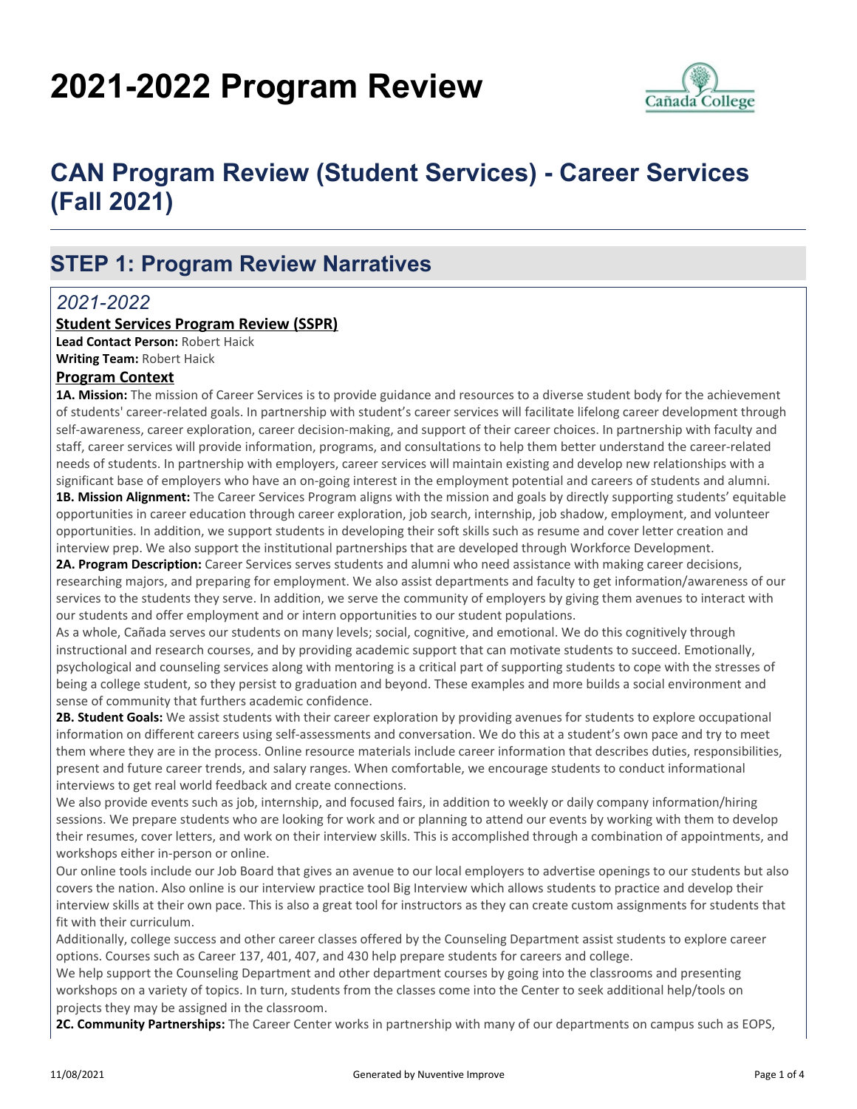# **2021-2022 Program Review**



# **CAN Program Review (Student Services) - Career Services (Fall 2021)**

# **STEP 1: Program Review Narratives**

## *2021-2022*

#### **Student Services Program Review (SSPR)**

**Lead Contact Person:** Robert Haick **Writing Team:** Robert Haick

## **Program Context**

**1A. Mission:** The mission of Career Services is to provide guidance and resources to a diverse student body for the achievement of students' career-related goals. In partnership with student's career services will facilitate lifelong career development through self-awareness, career exploration, career decision-making, and support of their career choices. In partnership with faculty and staff, career services will provide information, programs, and consultations to help them better understand the career-related needs of students. In partnership with employers, career services will maintain existing and develop new relationships with a significant base of employers who have an on-going interest in the employment potential and careers of students and alumni.

**1B. Mission Alignment:** The Career Services Program aligns with the mission and goals by directly supporting students' equitable opportunities in career education through career exploration, job search, internship, job shadow, employment, and volunteer opportunities. In addition, we support students in developing their soft skills such as resume and cover letter creation and interview prep. We also support the institutional partnerships that are developed through Workforce Development.

**2A. Program Description:** Career Services serves students and alumni who need assistance with making career decisions, researching majors, and preparing for employment. We also assist departments and faculty to get information/awareness of our services to the students they serve. In addition, we serve the community of employers by giving them avenues to interact with our students and offer employment and or intern opportunities to our student populations.

As a whole, Cañada serves our students on many levels; social, cognitive, and emotional. We do this cognitively through instructional and research courses, and by providing academic support that can motivate students to succeed. Emotionally, psychological and counseling services along with mentoring is a critical part of supporting students to cope with the stresses of being a college student, so they persist to graduation and beyond. These examples and more builds a social environment and sense of community that furthers academic confidence.

**2B. Student Goals:** We assist students with their career exploration by providing avenues for students to explore occupational information on different careers using self-assessments and conversation. We do this at a student's own pace and try to meet them where they are in the process. Online resource materials include career information that describes duties, responsibilities, present and future career trends, and salary ranges. When comfortable, we encourage students to conduct informational interviews to get real world feedback and create connections.

We also provide events such as job, internship, and focused fairs, in addition to weekly or daily company information/hiring sessions. We prepare students who are looking for work and or planning to attend our events by working with them to develop their resumes, cover letters, and work on their interview skills. This is accomplished through a combination of appointments, and workshops either in-person or online.

Our online tools include our Job Board that gives an avenue to our local employers to advertise openings to our students but also covers the nation. Also online is our interview practice tool Big Interview which allows students to practice and develop their interview skills at their own pace. This is also a great tool for instructors as they can create custom assignments for students that fit with their curriculum.

Additionally, college success and other career classes offered by the Counseling Department assist students to explore career options. Courses such as Career 137, 401, 407, and 430 help prepare students for careers and college.

We help support the Counseling Department and other department courses by going into the classrooms and presenting workshops on a variety of topics. In turn, students from the classes come into the Center to seek additional help/tools on projects they may be assigned in the classroom.

**2C. Community Partnerships:** The Career Center works in partnership with many of our departments on campus such as EOPS,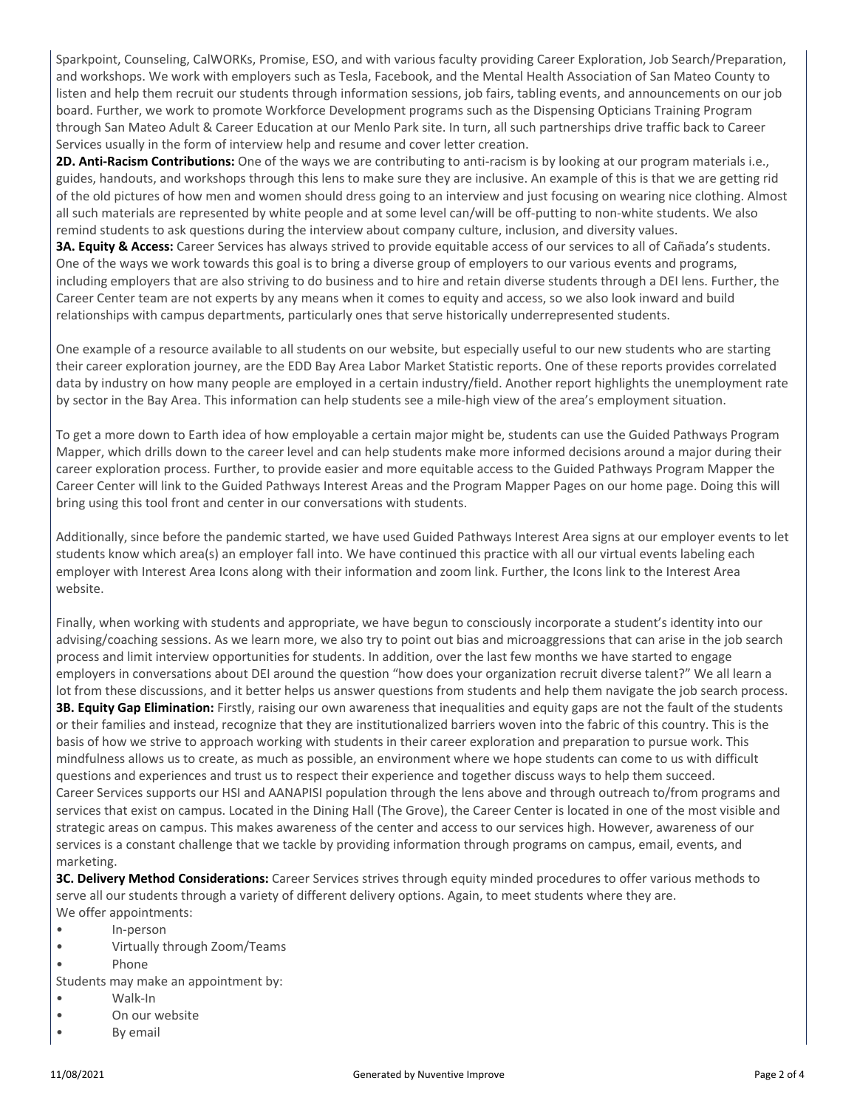Sparkpoint, Counseling, CalWORKs, Promise, ESO, and with various faculty providing Career Exploration, Job Search/Preparation, and workshops. We work with employers such as Tesla, Facebook, and the Mental Health Association of San Mateo County to listen and help them recruit our students through information sessions, job fairs, tabling events, and announcements on our job board. Further, we work to promote Workforce Development programs such as the Dispensing Opticians Training Program through San Mateo Adult & Career Education at our Menlo Park site. In turn, all such partnerships drive traffic back to Career Services usually in the form of interview help and resume and cover letter creation.

**2D. Anti-Racism Contributions:** One of the ways we are contributing to anti-racism is by looking at our program materials i.e., guides, handouts, and workshops through this lens to make sure they are inclusive. An example of this is that we are getting rid of the old pictures of how men and women should dress going to an interview and just focusing on wearing nice clothing. Almost all such materials are represented by white people and at some level can/will be off-putting to non-white students. We also remind students to ask questions during the interview about company culture, inclusion, and diversity values.

**3A. Equity & Access:** Career Services has always strived to provide equitable access of our services to all of Cañada's students. One of the ways we work towards this goal is to bring a diverse group of employers to our various events and programs, including employers that are also striving to do business and to hire and retain diverse students through a DEI lens. Further, the Career Center team are not experts by any means when it comes to equity and access, so we also look inward and build relationships with campus departments, particularly ones that serve historically underrepresented students.

One example of a resource available to all students on our website, but especially useful to our new students who are starting their career exploration journey, are the EDD Bay Area Labor Market Statistic reports. One of these reports provides correlated data by industry on how many people are employed in a certain industry/field. Another report highlights the unemployment rate by sector in the Bay Area. This information can help students see a mile-high view of the area's employment situation.

To get a more down to Earth idea of how employable a certain major might be, students can use the Guided Pathways Program Mapper, which drills down to the career level and can help students make more informed decisions around a major during their career exploration process. Further, to provide easier and more equitable access to the Guided Pathways Program Mapper the Career Center will link to the Guided Pathways Interest Areas and the Program Mapper Pages on our home page. Doing this will bring using this tool front and center in our conversations with students.

Additionally, since before the pandemic started, we have used Guided Pathways Interest Area signs at our employer events to let students know which area(s) an employer fall into. We have continued this practice with all our virtual events labeling each employer with Interest Area Icons along with their information and zoom link. Further, the Icons link to the Interest Area website.

Finally, when working with students and appropriate, we have begun to consciously incorporate a student's identity into our advising/coaching sessions. As we learn more, we also try to point out bias and microaggressions that can arise in the job search process and limit interview opportunities for students. In addition, over the last few months we have started to engage employers in conversations about DEI around the question "how does your organization recruit diverse talent?" We all learn a lot from these discussions, and it better helps us answer questions from students and help them navigate the job search process. **3B. Equity Gap Elimination:** Firstly, raising our own awareness that inequalities and equity gaps are not the fault of the students or their families and instead, recognize that they are institutionalized barriers woven into the fabric of this country. This is the basis of how we strive to approach working with students in their career exploration and preparation to pursue work. This mindfulness allows us to create, as much as possible, an environment where we hope students can come to us with difficult questions and experiences and trust us to respect their experience and together discuss ways to help them succeed. Career Services supports our HSI and AANAPISI population through the lens above and through outreach to/from programs and services that exist on campus. Located in the Dining Hall (The Grove), the Career Center is located in one of the most visible and strategic areas on campus. This makes awareness of the center and access to our services high. However, awareness of our services is a constant challenge that we tackle by providing information through programs on campus, email, events, and marketing.

**3C. Delivery Method Considerations:** Career Services strives through equity minded procedures to offer various methods to serve all our students through a variety of different delivery options. Again, to meet students where they are. We offer appointments:

- In-person
- Virtually through Zoom/Teams
- Phone

Students may make an appointment by:

- Walk-In
- On our website
- By email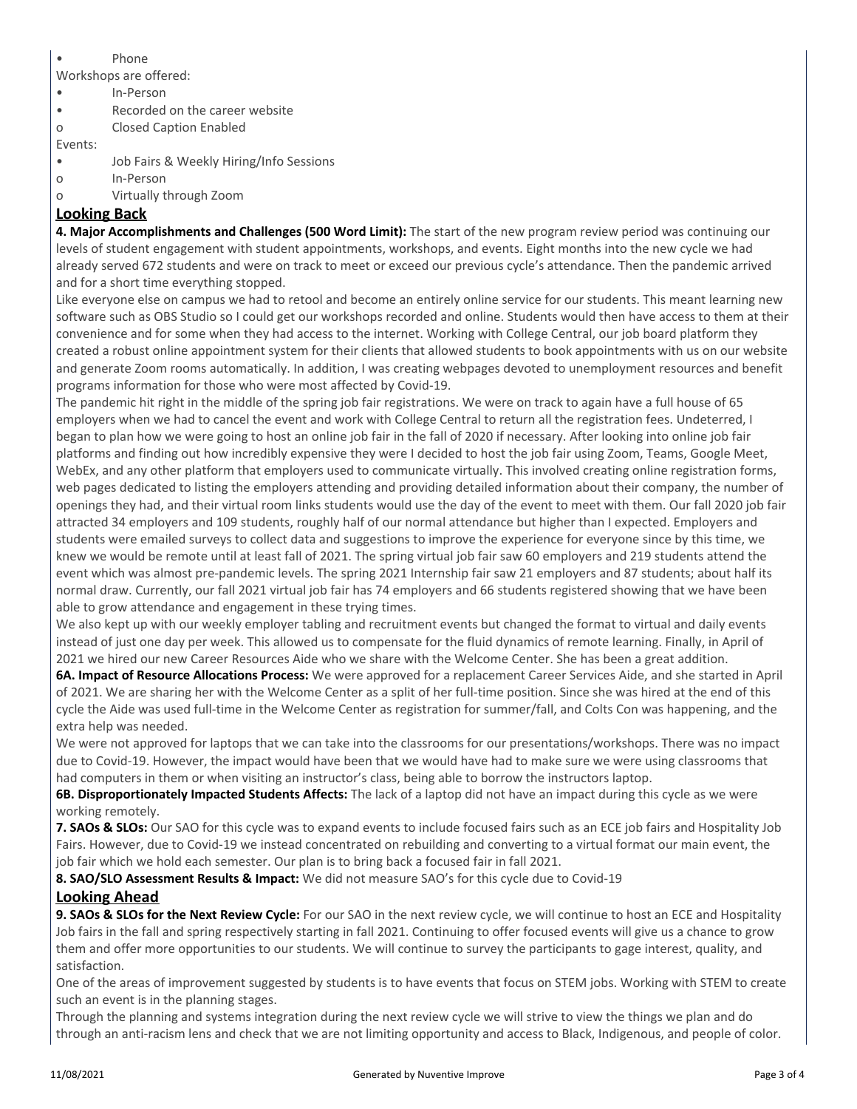• Phone

Workshops are offered:

- In-Person
- Recorded on the career website
- o Closed Caption Enabled

Events:

- Job Fairs & Weekly Hiring/Info Sessions
- o In-Person
- o Virtually through Zoom

#### **Looking Back**

**4. Major Accomplishments and Challenges (500 Word Limit):** The start of the new program review period was continuing our levels of student engagement with student appointments, workshops, and events. Eight months into the new cycle we had already served 672 students and were on track to meet or exceed our previous cycle's attendance. Then the pandemic arrived and for a short time everything stopped.

Like everyone else on campus we had to retool and become an entirely online service for our students. This meant learning new software such as OBS Studio so I could get our workshops recorded and online. Students would then have access to them at their convenience and for some when they had access to the internet. Working with College Central, our job board platform they created a robust online appointment system for their clients that allowed students to book appointments with us on our website and generate Zoom rooms automatically. In addition, I was creating webpages devoted to unemployment resources and benefit programs information for those who were most affected by Covid-19.

The pandemic hit right in the middle of the spring job fair registrations. We were on track to again have a full house of 65 employers when we had to cancel the event and work with College Central to return all the registration fees. Undeterred, I began to plan how we were going to host an online job fair in the fall of 2020 if necessary. After looking into online job fair platforms and finding out how incredibly expensive they were I decided to host the job fair using Zoom, Teams, Google Meet, WebEx, and any other platform that employers used to communicate virtually. This involved creating online registration forms, web pages dedicated to listing the employers attending and providing detailed information about their company, the number of openings they had, and their virtual room links students would use the day of the event to meet with them. Our fall 2020 job fair attracted 34 employers and 109 students, roughly half of our normal attendance but higher than I expected. Employers and students were emailed surveys to collect data and suggestions to improve the experience for everyone since by this time, we knew we would be remote until at least fall of 2021. The spring virtual job fair saw 60 employers and 219 students attend the event which was almost pre-pandemic levels. The spring 2021 Internship fair saw 21 employers and 87 students; about half its normal draw. Currently, our fall 2021 virtual job fair has 74 employers and 66 students registered showing that we have been able to grow attendance and engagement in these trying times.

We also kept up with our weekly employer tabling and recruitment events but changed the format to virtual and daily events instead of just one day per week. This allowed us to compensate for the fluid dynamics of remote learning. Finally, in April of 2021 we hired our new Career Resources Aide who we share with the Welcome Center. She has been a great addition.

**6A. Impact of Resource Allocations Process:** We were approved for a replacement Career Services Aide, and she started in April of 2021. We are sharing her with the Welcome Center as a split of her full-time position. Since she was hired at the end of this cycle the Aide was used full-time in the Welcome Center as registration for summer/fall, and Colts Con was happening, and the extra help was needed.

We were not approved for laptops that we can take into the classrooms for our presentations/workshops. There was no impact due to Covid-19. However, the impact would have been that we would have had to make sure we were using classrooms that had computers in them or when visiting an instructor's class, being able to borrow the instructors laptop.

**6B. Disproportionately Impacted Students Affects:** The lack of a laptop did not have an impact during this cycle as we were working remotely.

**7. SAOs & SLOs:** Our SAO for this cycle was to expand events to include focused fairs such as an ECE job fairs and Hospitality Job Fairs. However, due to Covid-19 we instead concentrated on rebuilding and converting to a virtual format our main event, the job fair which we hold each semester. Our plan is to bring back a focused fair in fall 2021.

**8. SAO/SLO Assessment Results & Impact:** We did not measure SAO's for this cycle due to Covid-19

#### **Looking Ahead**

**9. SAOs & SLOs for the Next Review Cycle:** For our SAO in the next review cycle, we will continue to host an ECE and Hospitality Job fairs in the fall and spring respectively starting in fall 2021. Continuing to offer focused events will give us a chance to grow them and offer more opportunities to our students. We will continue to survey the participants to gage interest, quality, and satisfaction.

One of the areas of improvement suggested by students is to have events that focus on STEM jobs. Working with STEM to create such an event is in the planning stages.

Through the planning and systems integration during the next review cycle we will strive to view the things we plan and do through an anti-racism lens and check that we are not limiting opportunity and access to Black, Indigenous, and people of color.